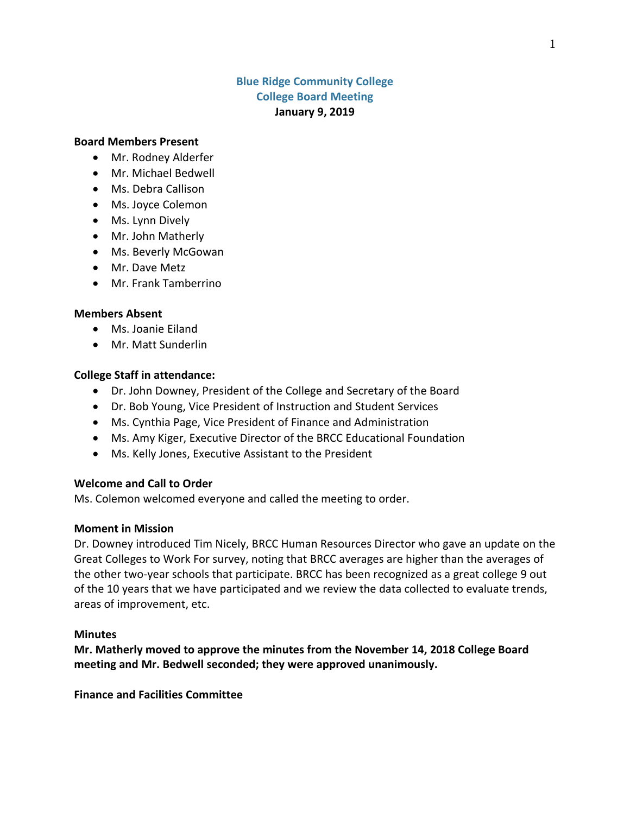# **Blue Ridge Community College College Board Meeting January 9, 2019**

### **Board Members Present**

- Mr. Rodney Alderfer
- Mr. Michael Bedwell
- Ms. Debra Callison
- Ms. Joyce Colemon
- Ms. Lynn Dively
- Mr. John Matherly
- Ms. Beverly McGowan
- Mr. Dave Metz
- Mr. Frank Tamberrino

### **Members Absent**

- Ms. Joanie Eiland
- Mr. Matt Sunderlin

#### **College Staff in attendance:**

- Dr. John Downey, President of the College and Secretary of the Board
- Dr. Bob Young, Vice President of Instruction and Student Services
- Ms. Cynthia Page, Vice President of Finance and Administration
- Ms. Amy Kiger, Executive Director of the BRCC Educational Foundation
- Ms. Kelly Jones, Executive Assistant to the President

### **Welcome and Call to Order**

Ms. Colemon welcomed everyone and called the meeting to order.

### **Moment in Mission**

Dr. Downey introduced Tim Nicely, BRCC Human Resources Director who gave an update on the Great Colleges to Work For survey, noting that BRCC averages are higher than the averages of the other two-year schools that participate. BRCC has been recognized as a great college 9 out of the 10 years that we have participated and we review the data collected to evaluate trends, areas of improvement, etc.

### **Minutes**

**Mr. Matherly moved to approve the minutes from the November 14, 2018 College Board meeting and Mr. Bedwell seconded; they were approved unanimously.**

**Finance and Facilities Committee**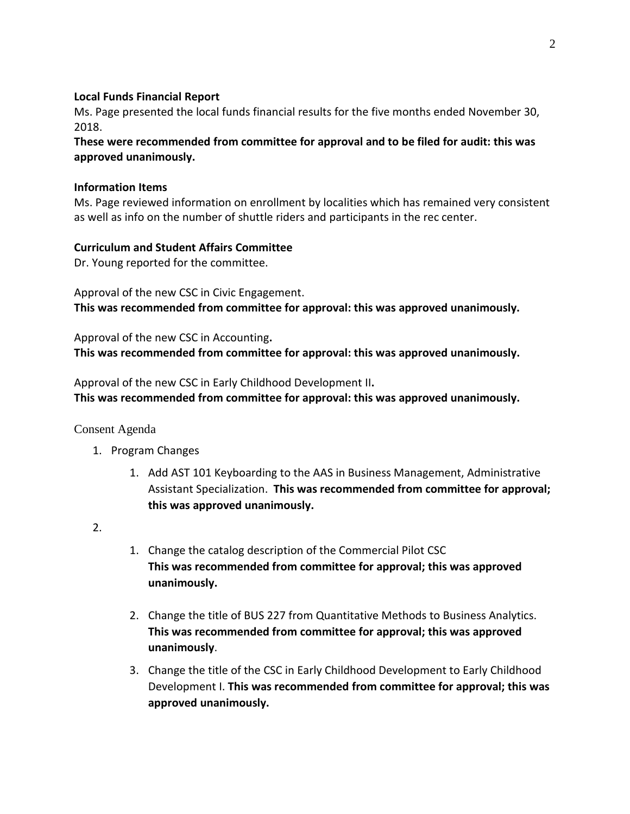## **Local Funds Financial Report**

Ms. Page presented the local funds financial results for the five months ended November 30, 2018.

**These were recommended from committee for approval and to be filed for audit: this was approved unanimously.**

### **Information Items**

Ms. Page reviewed information on enrollment by localities which has remained very consistent as well as info on the number of shuttle riders and participants in the rec center.

## **Curriculum and Student Affairs Committee**

Dr. Young reported for the committee.

Approval of the new CSC in Civic Engagement. **This was recommended from committee for approval: this was approved unanimously.**

Approval of the new CSC in Accounting**. This was recommended from committee for approval: this was approved unanimously.**

Approval of the new CSC in Early Childhood Development II**. This was recommended from committee for approval: this was approved unanimously.**

## Consent Agenda

- 1. Program Changes
	- 1. Add AST 101 Keyboarding to the AAS in Business Management, Administrative Assistant Specialization. **This was recommended from committee for approval; this was approved unanimously.**

2.

- 1. Change the catalog description of the Commercial Pilot CSC **This was recommended from committee for approval; this was approved unanimously.**
- 2. Change the title of BUS 227 from Quantitative Methods to Business Analytics. **This was recommended from committee for approval; this was approved unanimously**.
- 3. Change the title of the CSC in Early Childhood Development to Early Childhood Development I. **This was recommended from committee for approval; this was approved unanimously.**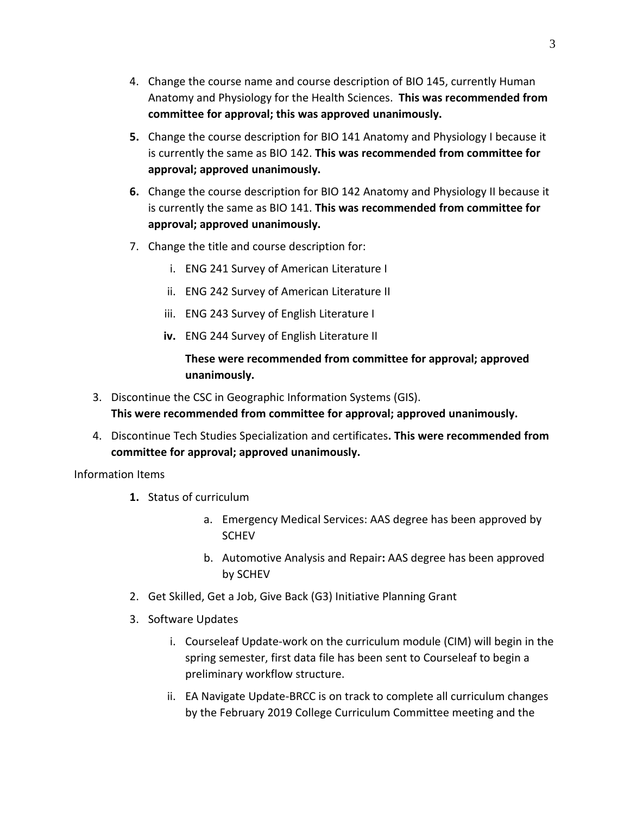- 4. Change the course name and course description of BIO 145, currently Human Anatomy and Physiology for the Health Sciences. **This was recommended from committee for approval; this was approved unanimously.**
- **5.** Change the course description for BIO 141 Anatomy and Physiology I because it is currently the same as BIO 142. **This was recommended from committee for approval; approved unanimously.**
- **6.** Change the course description for BIO 142 Anatomy and Physiology II because it is currently the same as BIO 141. **This was recommended from committee for approval; approved unanimously.**
- 7. Change the title and course description for:
	- i. ENG 241 Survey of American Literature I
	- ii. ENG 242 Survey of American Literature II
	- iii. ENG 243 Survey of English Literature I
	- **iv.** ENG 244 Survey of English Literature II

**These were recommended from committee for approval; approved unanimously.**

- 3. Discontinue the CSC in Geographic Information Systems (GIS). **This were recommended from committee for approval; approved unanimously.**
- 4. Discontinue Tech Studies Specialization and certificates**. This were recommended from committee for approval; approved unanimously.**

Information Items

- **1.** Status of curriculum
	- a. Emergency Medical Services: AAS degree has been approved by **SCHEV**
	- b. Automotive Analysis and Repair**:** AAS degree has been approved by SCHEV
- 2. Get Skilled, Get a Job, Give Back (G3) Initiative Planning Grant
- 3. Software Updates
	- i. Courseleaf Update-work on the curriculum module (CIM) will begin in the spring semester, first data file has been sent to Courseleaf to begin a preliminary workflow structure.
	- ii. EA Navigate Update-BRCC is on track to complete all curriculum changes by the February 2019 College Curriculum Committee meeting and the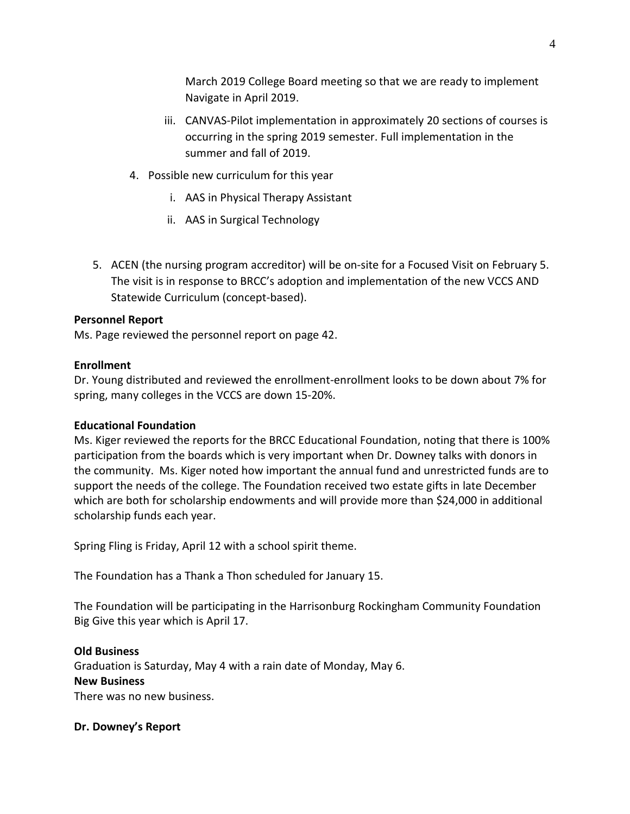March 2019 College Board meeting so that we are ready to implement Navigate in April 2019.

- iii. CANVAS-Pilot implementation in approximately 20 sections of courses is occurring in the spring 2019 semester. Full implementation in the summer and fall of 2019.
- 4. Possible new curriculum for this year
	- i. AAS in Physical Therapy Assistant
	- ii. AAS in Surgical Technology
- 5. ACEN (the nursing program accreditor) will be on-site for a Focused Visit on February 5. The visit is in response to BRCC's adoption and implementation of the new VCCS AND Statewide Curriculum (concept-based).

## **Personnel Report**

Ms. Page reviewed the personnel report on page 42.

### **Enrollment**

Dr. Young distributed and reviewed the enrollment-enrollment looks to be down about 7% for spring, many colleges in the VCCS are down 15-20%.

### **Educational Foundation**

Ms. Kiger reviewed the reports for the BRCC Educational Foundation, noting that there is 100% participation from the boards which is very important when Dr. Downey talks with donors in the community. Ms. Kiger noted how important the annual fund and unrestricted funds are to support the needs of the college. The Foundation received two estate gifts in late December which are both for scholarship endowments and will provide more than \$24,000 in additional scholarship funds each year.

Spring Fling is Friday, April 12 with a school spirit theme.

The Foundation has a Thank a Thon scheduled for January 15.

The Foundation will be participating in the Harrisonburg Rockingham Community Foundation Big Give this year which is April 17.

### **Old Business**

Graduation is Saturday, May 4 with a rain date of Monday, May 6.

### **New Business**

There was no new business.

### **Dr. Downey's Report**